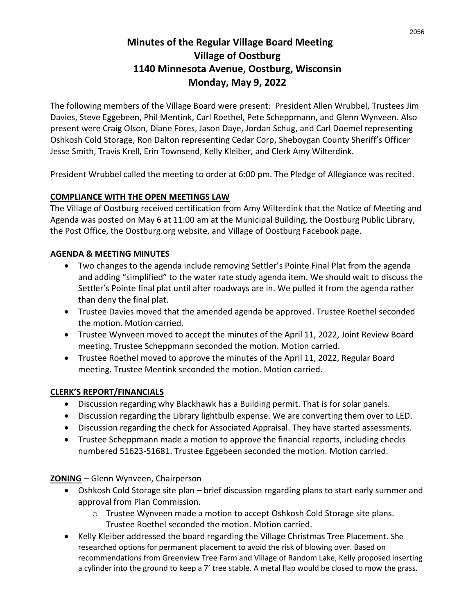# **Minutes of the Regular Village Board Meeting Village of Oostburg 1140 Minnesota Avenue, Oostburg, Wisconsin Monday, May 9, 2022**

The following members of the Village Board were present: President Allen Wrubbel, Trustees Jim Davies, Steve Eggebeen, Phil Mentink, Carl Roethel, Pete Scheppmann, and Glenn Wynveen. Also present were Craig Olson, Diane Fores, Jason Daye, Jordan Schug, and Carl Doemel representing Oshkosh Cold Storage, Ron Dalton representing Cedar Corp, Sheboygan County Sheriff's Officer Jesse Smith, Travis Krell, Erin Townsend, Kelly Kleiber, and Clerk Amy Wilterdink.

President Wrubbel called the meeting to order at 6:00 pm. The Pledge of Allegiance was recited.

#### **COMPLIANCE WITH THE OPEN MEETINGS LAW**

The Village of Oostburg received certification from Amy Wilterdink that the Notice of Meeting and Agenda was posted on May 6 at 11:00 am at the Municipal Building, the Oostburg Public Library, the Post Office, the Oostburg.org website, and Village of Oostburg Facebook page.

#### **AGENDA & MEETING MINUTES**

- Two changes to the agenda include removing Settler's Pointe Final Plat from the agenda and adding "simplified" to the water rate study agenda item. We should wait to discuss the Settler's Pointe final plat until after roadways are in. We pulled it from the agenda rather than deny the final plat.
- Trustee Davies moved that the amended agenda be approved. Trustee Roethel seconded the motion. Motion carried.
- Trustee Wynveen moved to accept the minutes of the April 11, 2022, Joint Review Board meeting. Trustee Scheppmann seconded the motion. Motion carried.
- Trustee Roethel moved to approve the minutes of the April 11, 2022, Regular Board meeting. Trustee Mentink seconded the motion. Motion carried.

#### **CLERK'S REPORT/FINANCIALS**

- Discussion regarding why Blackhawk has a Building permit. That is for solar panels.
- Discussion regarding the Library lightbulb expense. We are converting them over to LED.
- Discussion regarding the check for Associated Appraisal. They have started assessments.
- Trustee Scheppmann made a motion to approve the financial reports, including checks numbered 51623-51681. Trustee Eggebeen seconded the motion. Motion carried.

**ZONING** – Glenn Wynveen, Chairperson

- Oshkosh Cold Storage site plan brief discussion regarding plans to start early summer and approval from Plan Commission.
	- o Trustee Wynveen made a motion to accept Oshkosh Cold Storage site plans. Trustee Roethel seconded the motion. Motion carried.
- Kelly Kleiber addressed the board regarding the Village Christmas Tree Placement. She researched options for permanent placement to avoid the risk of blowing over. Based on recommendations from Greenview Tree Farm and Village of Random Lake, Kelly proposed inserting a cylinder into the ground to keep a 7' tree stable. A metal flap would be closed to mow the grass.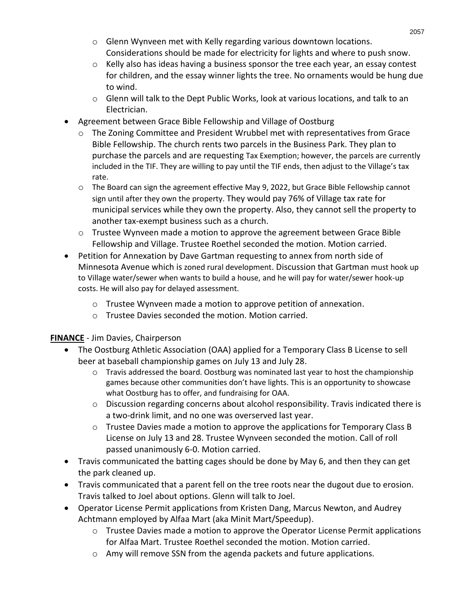- o Glenn Wynveen met with Kelly regarding various downtown locations. Considerations should be made for electricity for lights and where to push snow.
- o Kelly also has ideas having a business sponsor the tree each year, an essay contest for children, and the essay winner lights the tree. No ornaments would be hung due to wind.
- o Glenn will talk to the Dept Public Works, look at various locations, and talk to an Electrician.
- Agreement between Grace Bible Fellowship and Village of Oostburg
	- o The Zoning Committee and President Wrubbel met with representatives from Grace Bible Fellowship. The church rents two parcels in the Business Park. They plan to purchase the parcels and are requesting Tax Exemption; however, the parcels are currently included in the TIF. They are willing to pay until the TIF ends, then adjust to the Village's tax rate.
	- o The Board can sign the agreement effective May 9, 2022, but Grace Bible Fellowship cannot sign until after they own the property. They would pay 76% of Village tax rate for municipal services while they own the property. Also, they cannot sell the property to another tax-exempt business such as a church.
	- $\circ$  Trustee Wynveen made a motion to approve the agreement between Grace Bible Fellowship and Village. Trustee Roethel seconded the motion. Motion carried.
- Petition for Annexation by Dave Gartman requesting to annex from north side of Minnesota Avenue which is zoned rural development. Discussion that Gartman must hook up to Village water/sewer when wants to build a house, and he will pay for water/sewer hook-up costs. He will also pay for delayed assessment.
	- o Trustee Wynveen made a motion to approve petition of annexation.
	- o Trustee Davies seconded the motion. Motion carried.

#### **FINANCE** - Jim Davies, Chairperson

- The Oostburg Athletic Association (OAA) applied for a Temporary Class B License to sell beer at baseball championship games on July 13 and July 28.
	- $\circ$  Travis addressed the board. Oostburg was nominated last year to host the championship games because other communities don't have lights. This is an opportunity to showcase what Oostburg has to offer, and fundraising for OAA.
	- $\circ$  Discussion regarding concerns about alcohol responsibility. Travis indicated there is a two-drink limit, and no one was overserved last year.
	- o Trustee Davies made a motion to approve the applications for Temporary Class B License on July 13 and 28. Trustee Wynveen seconded the motion. Call of roll passed unanimously 6-0. Motion carried.
- Travis communicated the batting cages should be done by May 6, and then they can get the park cleaned up.
- Travis communicated that a parent fell on the tree roots near the dugout due to erosion. Travis talked to Joel about options. Glenn will talk to Joel.
- Operator License Permit applications from Kristen Dang, Marcus Newton, and Audrey Achtmann employed by Alfaa Mart (aka Minit Mart/Speedup).
	- $\circ$  Trustee Davies made a motion to approve the Operator License Permit applications for Alfaa Mart. Trustee Roethel seconded the motion. Motion carried.
	- $\circ$  Amy will remove SSN from the agenda packets and future applications.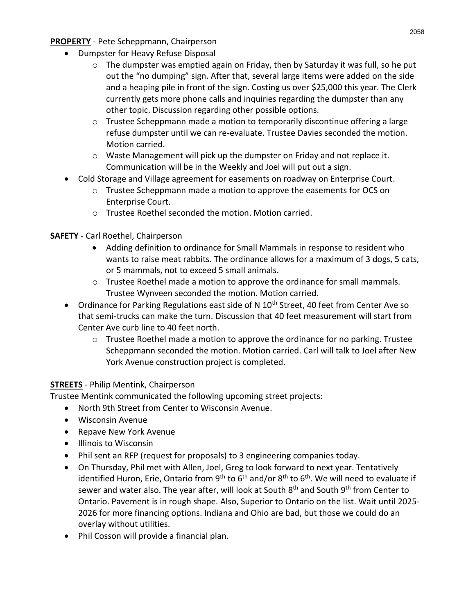#### **PROPERTY** - Pete Scheppmann, Chairperson

- Dumpster for Heavy Refuse Disposal
	- $\circ$  The dumpster was emptied again on Friday, then by Saturday it was full, so he put out the "no dumping" sign. After that, several large items were added on the side and a heaping pile in front of the sign. Costing us over \$25,000 this year. The Clerk currently gets more phone calls and inquiries regarding the dumpster than any other topic. Discussion regarding other possible options.
	- $\circ$  Trustee Scheppmann made a motion to temporarily discontinue offering a large refuse dumpster until we can re-evaluate. Trustee Davies seconded the motion. Motion carried.
	- $\circ$  Waste Management will pick up the dumpster on Friday and not replace it. Communication will be in the Weekly and Joel will put out a sign.
- Cold Storage and Village agreement for easements on roadway on Enterprise Court.
	- $\circ$  Trustee Scheppmann made a motion to approve the easements for OCS on Enterprise Court.
	- o Trustee Roethel seconded the motion. Motion carried.

#### **SAFETY** - Carl Roethel, Chairperson

- Adding definition to ordinance for Small Mammals in response to resident who wants to raise meat rabbits. The ordinance allows for a maximum of 3 dogs, 5 cats, or 5 mammals, not to exceed 5 small animals.
- $\circ$  Trustee Roethel made a motion to approve the ordinance for small mammals. Trustee Wynveen seconded the motion. Motion carried.
- Ordinance for Parking Regulations east side of N  $10^{th}$  Street, 40 feet from Center Ave so that semi-trucks can make the turn. Discussion that 40 feet measurement will start from Center Ave curb line to 40 feet north.
	- $\circ$  Trustee Roethel made a motion to approve the ordinance for no parking. Trustee Scheppmann seconded the motion. Motion carried. Carl will talk to Joel after New York Avenue construction project is completed.

### **STREETS** - Philip Mentink, Chairperson

Trustee Mentink communicated the following upcoming street projects:

- North 9th Street from Center to Wisconsin Avenue.
- Wisconsin Avenue
- Repave New York Avenue
- Illinois to Wisconsin
- Phil sent an RFP (request for proposals) to 3 engineering companies today.
- On Thursday, Phil met with Allen, Joel, Greg to look forward to next year. Tentatively identified Huron, Erie, Ontario from 9<sup>th</sup> to 6<sup>th</sup> and/or 8<sup>th</sup> to 6<sup>th</sup>. We will need to evaluate if sewer and water also. The year after, will look at South 8<sup>th</sup> and South 9<sup>th</sup> from Center to Ontario. Pavement is in rough shape. Also, Superior to Ontario on the list. Wait until 2025- 2026 for more financing options. Indiana and Ohio are bad, but those we could do an overlay without utilities.
- Phil Cosson will provide a financial plan.